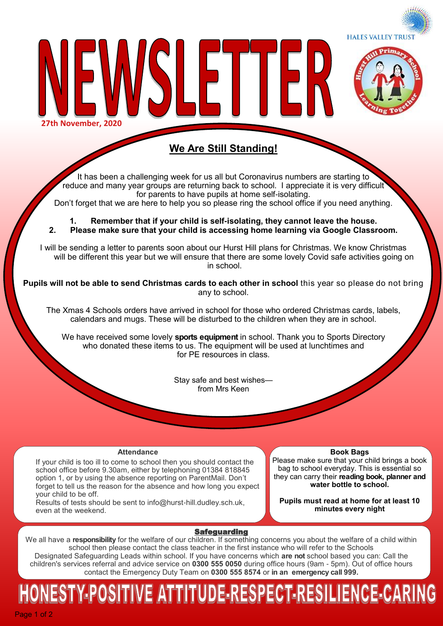



**27th November, 2020**

### **We Are Still Standing!**

LETTEI

It has been a challenging week for us all but Coronavirus numbers are starting to reduce and many year groups are returning back to school. I appreciate it is very difficult for parents to have pupils at home self-isolating. Don't forget that we are here to help you so please ring the school office if you need anything.

**1. Remember that if your child is self-isolating, they cannot leave the house. 2. Please make sure that your child is accessing home learning via Google Classroom.** 

I will be sending a letter to parents soon about our Hurst Hill plans for Christmas. We know Christmas will be different this year but we will ensure that there are some lovely Covid safe activities going on in school.

**Pupils will not be able to send Christmas cards to each other in school** this year so please do not bring any to school.

The Xmas 4 Schools orders have arrived in school for those who ordered Christmas cards, labels, calendars and mugs. These will be disturbed to the children when they are in school.

We have received some lovely **sports equipment** in school. Thank you to Sports Directory who donated these items to us. The equipment will be used at lunchtimes and for PE resources in class.

> Stay safe and best wishes from Mrs Keen

#### **Attendance**

If your child is too ill to come to school then you should contact the school office before 9.30am, either by telephoning 01384 818845 option 1, or by using the absence reporting on ParentMail. Don't forget to tell us the reason for the absence and how long you expect your child to be off.

Results of tests should be sent to info@hurst-hill.dudley.sch.uk, even at the weekend.

**Book Bags**

Please make sure that your child brings a book bag to school everyday. This is essential so they can carry their **reading book, planner and water bottle to school.** 

**Pupils must read at home for at least 10 minutes every night**

#### **Safeguarding**

We all have a **responsibility** for the welfare of our children. If something concerns you about the welfare of a child within school then please contact the class teacher in the first instance who will refer to the Schools Designated Safeguarding Leads within school. If you have concerns which **are not** school based you can: Call the children's services referral and advice service on **0300 555 0050** during office hours (9am - 5pm). Out of office hours contact the Emergency Duty Team on **0300 555 8574** or **in an emergency call 999.** 

# NESTY-POSITIVE ATTITUDE-RESPECT-RESILIENCE-CARIN

Page 1 of 2